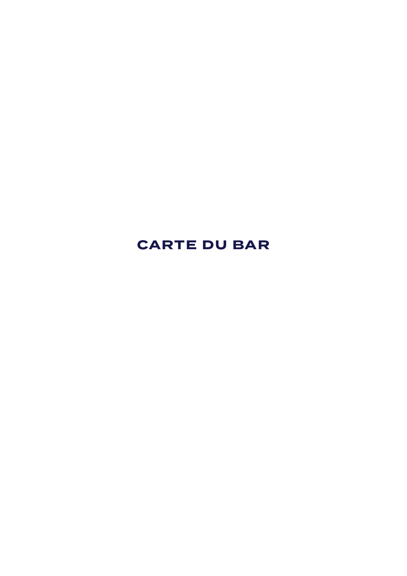# **CARTE DU BAR**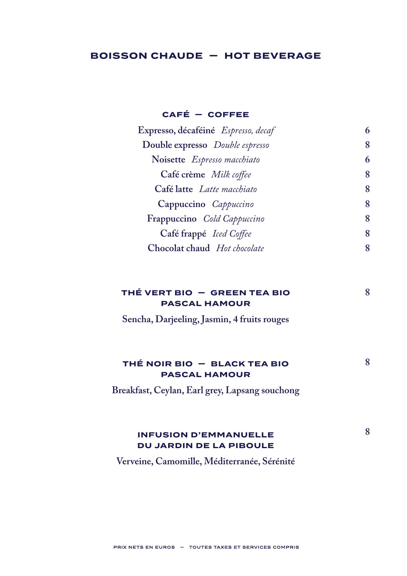# **BOISSON CHAUDE — HOT BEVERAGE**

### **CAFÉ — COFFEE**

| Expresso, décaféiné Espresso, decaf |   |
|-------------------------------------|---|
| Double expresso Double espresso     | 8 |
| Noisette Espresso macchiato         | 6 |
| Café crème Milk coffee              | 8 |
| Café latte Latte macchiato          | 8 |
| Cappuccino Cappuccino               | 8 |
| Frappuccino Cold Cappuccino         | 8 |
| Café frappé <i>Iced Coffee</i>      | 8 |
| Chocolat chaud Hot chocolate        | 8 |
|                                     |   |

**8**

**8**

# **THÉ VERT BIO — GREEN TEA BIO PASCAL HAMOUR**

**Sencha, Darjeeling, Jasmin, 4 fruits rouges**

# **THÉ NOIR BIO — BLACK TEA BIO PASCAL HAMOUR**

**Breakfast, Ceylan, Earl grey, Lapsang souchong**

#### **INFUSION D'EMMANUELLE DU JARDIN DE LA PIBOULE 8**

**Verveine, Camomille, Méditerranée, Sérénité**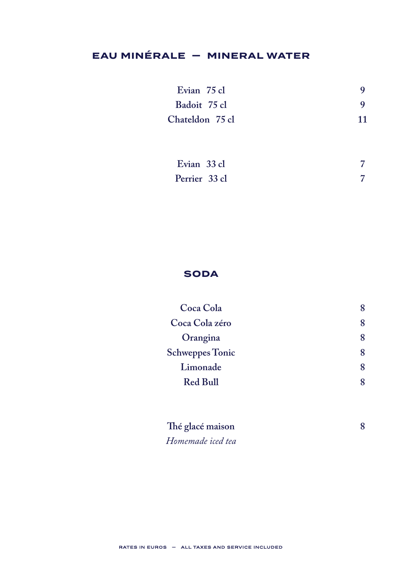# **EAU MINÉRALE - MINERAL WATER**

| Evian 75 cl     |    |
|-----------------|----|
| Badoit 75 cl    |    |
| Chateldon 75 cl | 11 |

| Evian 33 cl   |  |
|---------------|--|
| Perrier 33 cl |  |

# **SODA**

| Coca Cola              |   |
|------------------------|---|
| Coca Cola zéro         | 8 |
| Orangina               | 8 |
| <b>Schweppes Tonic</b> | 8 |
| Limonade               | 8 |
| <b>Red Bull</b>        |   |
|                        |   |

8

Thé glacé maison Homemade iced tea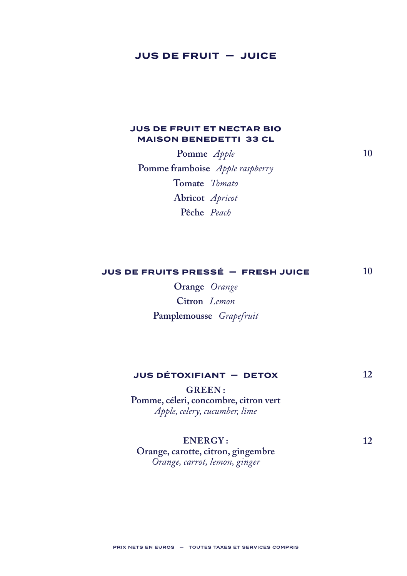## **JUS DE FRUIT - JUICE**

### **JUS DE FRUIT ET NECTAR BIO MAISON BENEDETTI 33 CL**

Pomme Apple Pomme framboise Apple raspberry Tomate Tomato Abricot Apricot Pêche Peach

JUS DE FRUITS PRESSÉ - FRESH JUICE  $10$ 

> Orange Orange Citron Lemon Pamplemousse Grapefruit

#### **JUS DÉTOXIFIANT - DETOX** 12

**GREEN:** Pomme, céleri, concombre, citron vert Apple, celery, cucumber, lime

#### **ENERGY:**

Orange, carotte, citron, gingembre Orange, carrot, lemon, ginger

PRIX NETS EN EUROS - TOUTES TAXES ET SERVICES COMPRIS

 $10$ 

12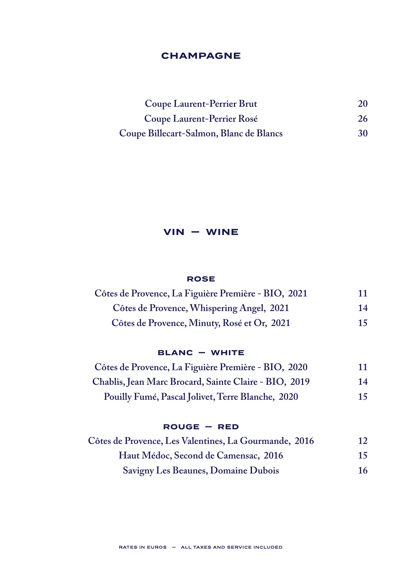## **CHAMPAGNE**

| Coupe Laurent-Perrier Brut              | 20 |
|-----------------------------------------|----|
| Coupe Laurent-Perrier Rosé              | 26 |
| Coupe Billecart-Salmon, Blanc de Blancs | 30 |

# **VIN — WINE**

#### **ROSE**

| Côtes de Provence, La Figuière Première - BIO, 2021 | 11 |
|-----------------------------------------------------|----|
| Côtes de Provence, Whispering Angel, 2021           | 14 |
| Côtes de Provence, Minuty, Rosé et Or, 2021         | 15 |

### **BLANC — WHITE**

| Côtes de Provence, La Figuière Première - BIO, 2020   | 11 |
|-------------------------------------------------------|----|
| Chablis, Jean Marc Brocard, Sainte Claire - BIO, 2019 | 14 |
| Pouilly Fumé, Pascal Jolivet, Terre Blanche, 2020     | 15 |

### **ROUGE — RED**

| Côtes de Provence, Les Valentines, La Gourmande, 2016 | 12 |
|-------------------------------------------------------|----|
| Haut Médoc, Second de Camensac, 2016                  | 15 |
| Savigny Les Beaunes, Domaine Dubois                   | 16 |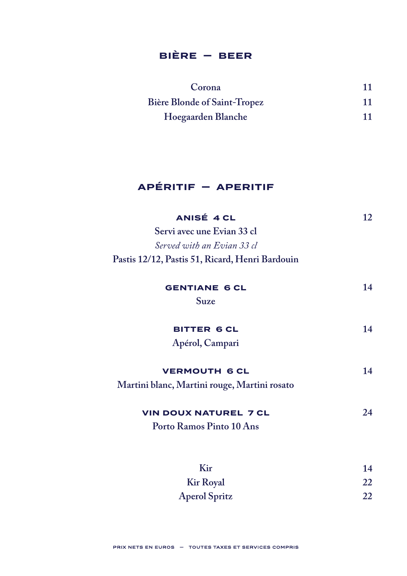# $BIERE - BEER$

| Corona                              | 11 |
|-------------------------------------|----|
| <b>Bière Blonde of Saint-Tropez</b> | 11 |
| Hoegaarden Blanche                  | 11 |

# APÉRITIF - APERITIF

| ANISÉ 4 CL                                      | 12 |
|-------------------------------------------------|----|
| Servi avec une Evian 33 cl                      |    |
| Served with an Evian 33 cl                      |    |
| Pastis 12/12, Pastis 51, Ricard, Henri Bardouin |    |
| <b>GENTIANE 6 CL</b>                            | 14 |
| Suze                                            |    |
| <b>BITTER 6 CL</b>                              | 14 |
| Apérol, Campari                                 |    |
| <b>VERMOUTH 6 CL</b>                            | 14 |
| Martini blanc, Martini rouge, Martini rosato    |    |
| <b>VIN DOUX NATUREL 7 CL</b>                    | 24 |
| Porto Ramos Pinto 10 Ans                        |    |
|                                                 |    |
| K <sub>ir</sub>                                 | 14 |

| NH                   | . 4 |
|----------------------|-----|
| <b>Kir Royal</b>     | 22  |
| <b>Aperol Spritz</b> | 22  |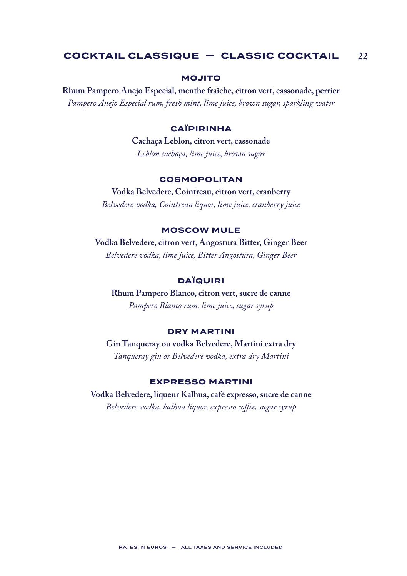## **COCKTAIL CLASSIQUE — CLASSIC COCKTAIL 22**

### **MOJITO**

**Rhum Pampero Anejo Especial, menthe fraîche, citron vert, cassonade, perrier** *Pampero Anejo Especial rum, fresh mint, lime juice, brown sugar, sparkling water*

#### **CAÏPIRINHA**

**Cachaça Leblon, citron vert, cassonade** *Leblon cachaça, lime juice, brown sugar*

#### **COSMOPOLITAN**

**Vodka Belvedere, Cointreau, citron vert, cranberry** *Belvedere vodka, Cointreau liquor, lime juice, cranberry juice*

#### **MOSCOW MULE**

**Vodka Belvedere, citron vert, Angostura Bitter, Ginger Beer** *Belvedere vodka, lime juice, Bitter Angostura, Ginger Beer*

#### **DAÏQUIRI**

**Rhum Pampero Blanco, citron vert, sucre de canne** *Pampero Blanco rum, lime juice, sugar syrup*

#### **DRY MARTINI**

**Gin Tanqueray ou vodka Belvedere, Martini extra dry** *Tanqueray gin or Belvedere vodka, extra dry Martini*

#### **EXPRESSO MARTINI**

**Vodka Belvedere, liqueur Kalhua, café expresso, sucre de canne** *Belvedere vodka, kalhua liquor, expresso coffee, sugar syrup*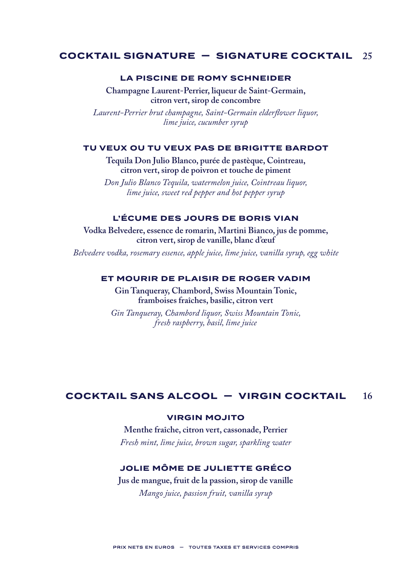#### **25 COCKTAIL SIGNATURE — SIGNATURE COCKTAIL**

#### **LA PISCINE DE ROMY SCHNEIDER**

**Champagne Laurent-Perrier, liqueur de Saint-Germain, citron vert, sirop de concombre**

*Laurent-Perrier brut champagne, Saint-Germain elderflower liquor, lime juice, cucumber syrup*

#### **TU VEUX OU TU VEUX PAS DE BRIGITTE BARDOT**

**Tequila Don Julio Blanco, purée de pastèque, Cointreau, citron vert, sirop de poivron et touche de piment**

*Don Julio Blanco Tequila, watermelon juice, Cointreau liquor, lime juice, sweet red pepper and hot pepper syrup*

### **L'ÉCUME DES JOURS DE BORIS VIAN**

**Vodka Belvedere, essence de romarin, Martini Bianco, jus de pomme, citron vert, sirop de vanille, blanc d'œuf**

*Belvedere vodka, rosemary essence, apple juice, lime juice, vanilla syrup, egg white*

#### **ET MOURIR DE PLAISIR DE ROGER VADIM**

**Gin Tanqueray, Chambord, Swiss Mountain Tonic, framboises fraîches, basilic, citron vert**

*Gin Tanqueray, Chambord liquor, Swiss Mountain Tonic, fresh raspberry, basil, lime juice*

#### **16 COCKTAIL SANS ALCOOL — VIRGIN COCKTAIL**

#### **VIRGIN MOJITO**

**Menthe fraîche, citron vert, cassonade, Perrier** *Fresh mint, lime juice, brown sugar, sparkling water*

#### **JOLIE MÔME DE JULIETTE GRÉCO**

**Jus de mangue, fruit de la passion, sirop de vanille** *Mango juice, passion fruit, vanilla syrup*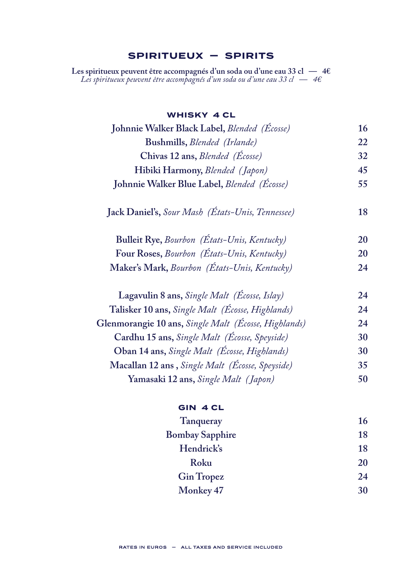# **SPIRITUEUX — SPIRITS**

**Les spiritueux peuvent être accompagnés d'un soda ou d'une eau 33 cl — 4€** *Les spiritueux peuvent être accompagnés d'un soda ou d'une eau 33 cl — 4€*

### **WHISKY 4 CL**

| Johnnie Walker Black Label, Blended (Écosse)         | 16 |
|------------------------------------------------------|----|
| Bushmills, Blended (Irlande)                         | 22 |
| Chivas 12 ans, Blended (Écosse)                      | 32 |
| Hibiki Harmony, Blended (Japon)                      | 45 |
| Johnnie Walker Blue Label, Blended (Écosse)          | 55 |
| Jack Daniel's, Sour Mash (États-Unis, Tennessee)     | 18 |
| Bulleit Rye, Bourbon (États-Unis, Kentucky)          | 20 |
| Four Roses, Bourbon (États-Unis, Kentucky)           | 20 |
| Maker's Mark, Bourbon (États-Unis, Kentucky)         | 24 |
| Lagavulin 8 ans, Single Malt (Écosse, Islay)         | 24 |
| Talisker 10 ans, Single Malt (Écosse, Highlands)     | 24 |
| Glenmorangie 10 ans, Single Malt (Écosse, Highlands) | 24 |
| Cardhu 15 ans, Single Malt (Écosse, Speyside)        | 30 |
| Oban 14 ans, Single Malt (Écosse, Highlands)         | 30 |
| Macallan 12 ans, Single Malt (Écosse, Speyside)      | 35 |
| Yamasaki 12 ans, Single Malt (Japon)                 | 50 |

### **GIN 4 CL**

| Tanqueray              | 16 |
|------------------------|----|
| <b>Bombay Sapphire</b> | 18 |
| Hendrick's             | 18 |
| Roku                   | 20 |
| <b>Gin Tropez</b>      | 24 |
| Monkey 47              | 30 |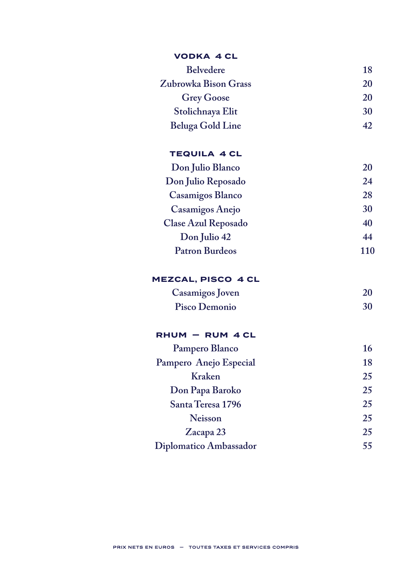| <b>VODKA 4 CL</b>       |     |
|-------------------------|-----|
| <b>Belvedere</b>        | 18  |
| Zubrowka Bison Grass    | 20  |
| <b>Grey Goose</b>       | 20  |
| Stolichnaya Elit        | 30  |
| <b>Beluga Gold Line</b> | 42  |
| <b>TEQUILA 4 CL</b>     |     |
| Don Julio Blanco        | 20  |
| Don Julio Reposado      | 24  |
| Casamigos Blanco        | 28  |
| Casamigos Anejo         | 30  |
| Clase Azul Reposado     | 40  |
| Don Julio 42            | 44  |
| <b>Patron Burdeos</b>   | 110 |
| MEZCAL, PISCO 4 CL      |     |
| Casamigos Joven         | 20  |
| Pisco Demonio           | 30  |
| RHUM - RUM 4 CL         |     |
| Pampero Blanco          | 16  |
| Pampero Anejo Especial  | 18  |
| Kraken                  | 25  |
| Don Papa Baroko         | 25  |
| Santa Teresa 1796       | 25  |
| <b>Neisson</b>          | 25  |
| Zacapa 23               | 25  |
| Diplomatico Ambassador  | 55  |

# PRIX NETS EN EUROS — TOUTES TAXES ET SERVICES COMPRIS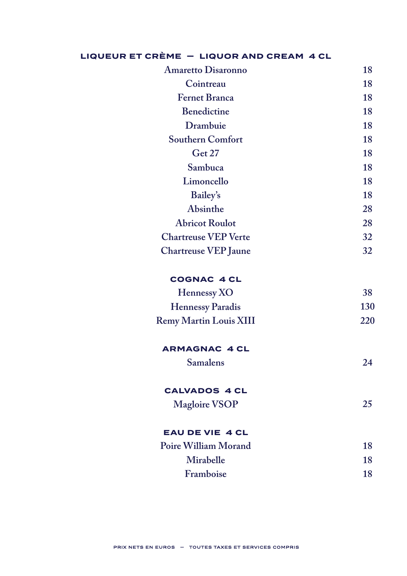|  | LIQUEUR ET CRÈME - LIQUOR AND CREAM 4 CL |  |
|--|------------------------------------------|--|
|  |                                          |  |

| <b>Amaretto Disaronno</b>     | 18  |
|-------------------------------|-----|
| Cointreau                     | 18  |
| <b>Fernet Branca</b>          | 18  |
| <b>Benedictine</b>            | 18  |
| Drambuie                      | 18  |
| <b>Southern Comfort</b>       | 18  |
| Get 27                        | 18  |
| Sambuca                       | 18  |
| Limoncello                    | 18  |
| <b>Bailey's</b>               | 18  |
| Absinthe                      | 28  |
| <b>Abricot Roulot</b>         | 28  |
| <b>Chartreuse VEP Verte</b>   | 32  |
| <b>Chartreuse VEP Jaune</b>   | 32  |
| <b>COGNAC 4 CL</b>            |     |
| Hennessy XO                   | 38  |
| <b>Hennessy Paradis</b>       | 130 |
| <b>Remy Martin Louis XIII</b> | 220 |
| <b>ARMAGNAC 4 CL</b>          |     |
| <b>Samalens</b>               | 24  |
| <b>CALVADOS 4 CL</b>          |     |
| <b>Magloire VSOP</b>          | 25  |
| <b>EAU DE VIE 4 CL</b>        |     |
| Poire William Morand          | 18  |
| Mirabelle                     | 18  |
| Framboise                     | 18  |
|                               |     |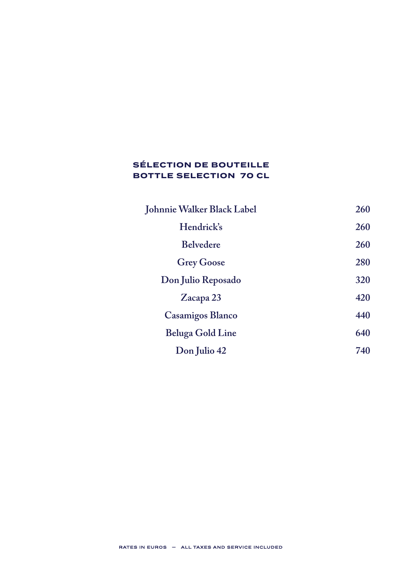# **SÉLECTION DE BOUTEILLE BOTTLE SELECTION 70 CL**

| Johnnie Walker Black Label | 260 |
|----------------------------|-----|
| Hendrick's                 | 260 |
| <b>Belvedere</b>           | 260 |
| <b>Grey Goose</b>          | 280 |
| Don Julio Reposado         | 320 |
| Zacapa 23                  | 420 |
| Casamigos Blanco           | 440 |
| <b>Beluga Gold Line</b>    | 640 |
| Don Julio 42               | 740 |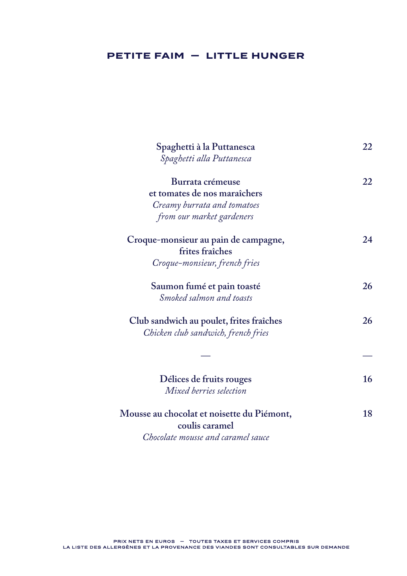# **PETITE FAIM — LITTLE HUNGER**

| Spaghetti à la Puttanesca                                                       | 22 |
|---------------------------------------------------------------------------------|----|
| Spaghetti alla Puttanesca                                                       |    |
| Burrata crémeuse                                                                | 22 |
| et tomates de nos maraîchers                                                    |    |
| Creamy burrata and tomatoes                                                     |    |
| from our market gardeners                                                       |    |
| Croque-monsieur au pain de campagne,<br>frites fraîches                         | 24 |
| Croque-monsieur, french fries                                                   |    |
| Saumon fumé et pain toasté<br>Smoked salmon and toasts                          | 26 |
| Club sandwich au poulet, frites fraîches<br>Chicken club sandwich, french fries | 26 |
|                                                                                 |    |
| Délices de fruits rouges<br>Mixed berries selection                             | 16 |
| Mousse au chocolat et noisette du Piémont,<br>coulis caramel                    | 18 |

*Chocolate mousse and caramel sauce*